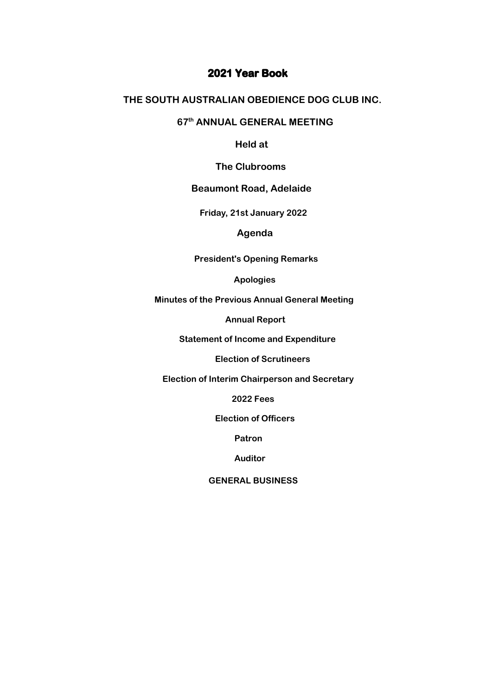### **2021 Year Book**

#### **THE SOUTH AUSTRALIAN OBEDIENCE DOG CLUB INC.**

#### **67th ANNUAL GENERAL MEETING**

 **Held at**

 **The Clubrooms**

#### **Beaumont Road, Adelaide**

 **Thursday 18th November 2021 Friday, 21st January 2022**

 **Agenda**

 **President's Opening Remarks**

 **Apologies**

 **Minutes of the Previous Annual General Meeting**

 **Annual Report**

 **Statement of Income and Expenditure**

 **Election of Scrutineers**

 **Election of Interim Chairperson and Secretary**

 **2022 Fees** 

 **Election of Officers**

 **Patron**

 **Auditor**

 **GENERAL BUSINESS**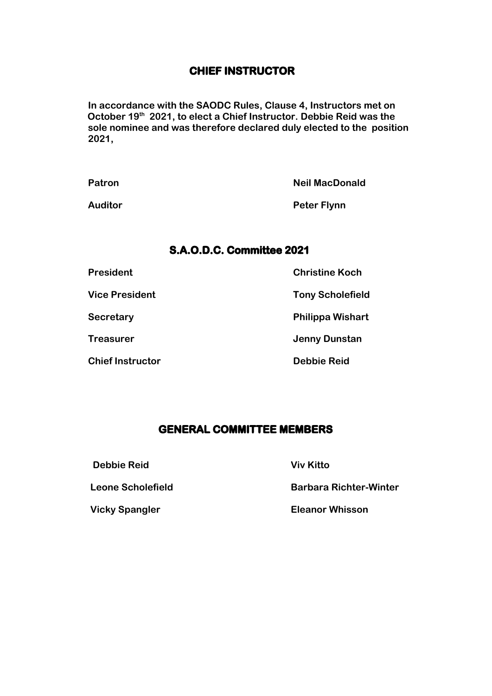### **CHIEF INSTRUCTOR**

**In accordance with the SAODC Rules, Clause 4, Instructors met on October 19th 2021, to elect a Chief Instructor. Debbie Reid was the sole nominee and was therefore declared duly elected to the position 2021,**

**Patron Communication Communication Communication Communication Communication Neil MacDonald** Auditor **Peter Flynn** 

### **S.A.O.D.C. Committee 2021**

| <b>President</b>        | <b>Christine Koch</b>   |
|-------------------------|-------------------------|
| <b>Vice President</b>   | <b>Tony Scholefield</b> |
| <b>Secretary</b>        | <b>Philippa Wishart</b> |
| <b>Treasurer</b>        | <b>Jenny Dunstan</b>    |
| <b>Chief Instructor</b> | <b>Debbie Reid</b>      |

### **GENERAL COMMITTEE MEMBERS**

 **Debbie Reid Viv Kitto**

 **Leone Scholefield Barbara Richter-Winter**

 **Vicky Spangler Eleanor Whisson**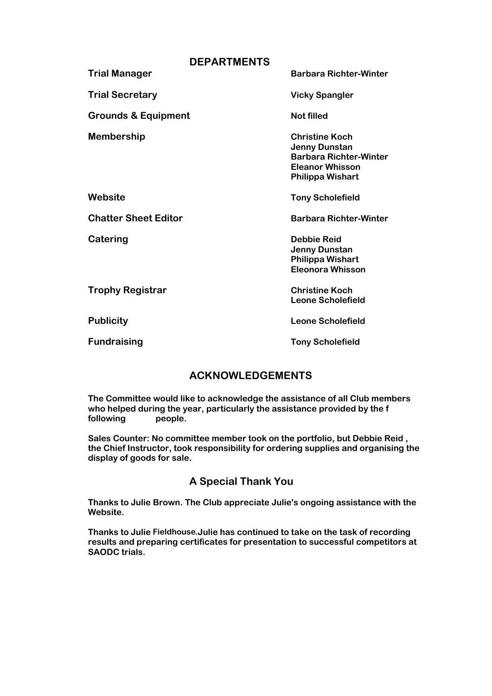| <b>DEPARTMENTS</b> |                                |                                                                                                                                     |  |
|--------------------|--------------------------------|-------------------------------------------------------------------------------------------------------------------------------------|--|
|                    | <b>Trial Manager</b>           | <b>Barbara Richter-Winter</b>                                                                                                       |  |
|                    | <b>Trial Secretary</b>         | <b>Vicky Spangler</b>                                                                                                               |  |
|                    | <b>Grounds &amp; Equipment</b> | <b>Not filled</b>                                                                                                                   |  |
|                    | <b>Membership</b>              | <b>Christine Koch</b><br><b>Jenny Dunstan</b><br><b>Barbara Richter-Winter</b><br><b>Eleanor Whisson</b><br><b>Philippa Wishart</b> |  |
|                    | Website                        | <b>Tony Scholefield</b>                                                                                                             |  |
|                    | <b>Chatter Sheet Editor</b>    | <b>Barbara Richter-Winter</b>                                                                                                       |  |
|                    | Catering                       | <b>Debbie Reid</b><br><b>Jenny Dunstan</b><br><b>Philippa Wishart</b><br><b>Eleonora Whisson</b>                                    |  |
|                    | <b>Trophy Registrar</b>        | <b>Christine Koch</b><br><b>Leone Scholefield</b>                                                                                   |  |
|                    | <b>Publicity</b>               | Leone Scholefield                                                                                                                   |  |
|                    | <b>Fundraising</b>             | <b>Tony Scholefield</b>                                                                                                             |  |
|                    |                                |                                                                                                                                     |  |

### **ACKNOWLEDGEMENTS**

**The Committee would like to acknowledge the assistance of all Club members who helped during the year, particularly the assistance provided by the f following people.**

**Sales Counter: No committee member took on the portfolio, but Debbie Reid , the Chief Instructor, took responsibility for ordering supplies and organising the display of goods for sale.**

### **A Special Thank You**

**Thanks to Julie Brown. The Club appreciate Julie's ongoing assistance with the Website.** 

**Thanks to Julie Fielhouse. Julie has continued to take on the task of recording Fieldhouse.results and preparing certificates for presentation to successful competitors at SAODC trials.**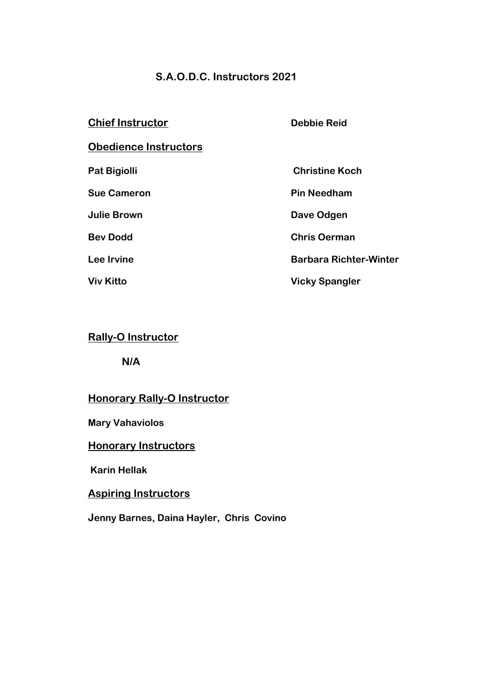### **S.A.O.D.C. Instructors 2021**

| <b>Chief Instructor</b>      | <b>Debbie Reid</b>            |
|------------------------------|-------------------------------|
| <b>Obedience Instructors</b> |                               |
| <b>Pat Bigiolli</b>          | <b>Christine Koch</b>         |
| <b>Sue Cameron</b>           | <b>Pin Needham</b>            |
| <b>Julie Brown</b>           | Dave Odgen                    |
| <b>Bev Dodd</b>              | <b>Chris Oerman</b>           |
| Lee Irvine                   | <b>Barbara Richter-Winter</b> |
| <b>Viv Kitto</b>             | <b>Vicky Spangler</b>         |
|                              |                               |

### **Rally-O Instructor**

**N/A**

## **Honorary Rally-O Instructor**

### **Mary Vahaviolos**

## **Honorary Instructors**

 **Karin Hellak**

### **Aspiring Instructors**

**Jenny Barnes, Daina Hayler, Chris Covino**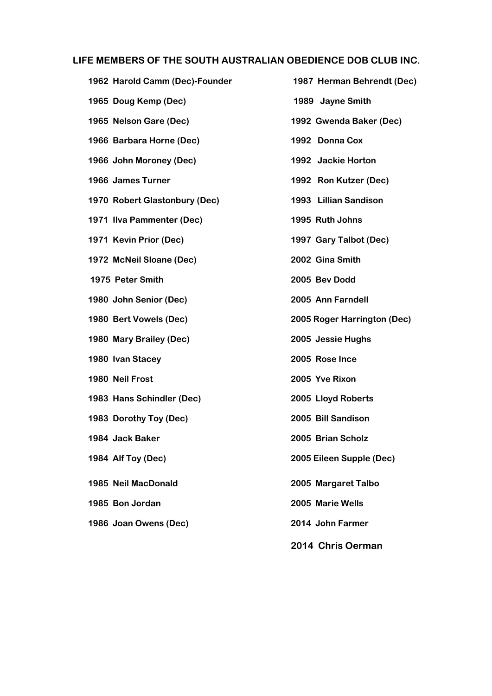#### **LIFE MEMBERS OF THE SOUTH AUSTRALIAN OBEDIENCE DOB CLUB INC.**

**1962 Harold Camm (Dec)-Founder 1987 Herman Behrendt (Dec) 1965 Doug Kemp (Dec) 1989 Jayne Smith 1965 Nelson Gare (Dec) 1992 Gwenda Baker (Dec) 1966 Barbara Horne (Dec) 1992 Donna Cox 1966 John Moroney (Dec) 1992 Jackie Horton 1966 James Turner 1992 Ron Kutzer (Dec) 1970 Robert Glastonbury (Dec) 1993 Lillian Sandison 1971 Ilva Pammenter (Dec) 1995 Ruth Johns 1971 Kevin Prior (Dec) 1997 Gary Talbot (Dec) 1972 McNeil Sloane (Dec) 2002 Gina Smith 1975 Peter Smith 2005 Bev Dodd 1980 John Senior (Dec) 2005 Ann Farndell 1980 Bert Vowels (Dec) 2005 Roger Harrington (Dec) 1980 Mary Brailey (Dec) 2005 Jessie Hughs 1980 Ivan Stacey 2005 Rose Ince 1980 Neil Frost 2005 Yve Rixon 1983 Hans Schindler (Dec) 2005 Lloyd Roberts 1983 Dorothy Toy (Dec) 2005 Bill Sandison 1984 Jack Baker 2005 Brian Scholz 1984 Alf Toy (Dec) 2005 Eileen Supple (Dec) 1985 Neil MacDonald 2005 Margaret Talbo 1985 Bon Jordan 2005 Marie Wells 1986 Joan Owens (Dec) 2014 John Farmer**

**2014 Chris Oerman**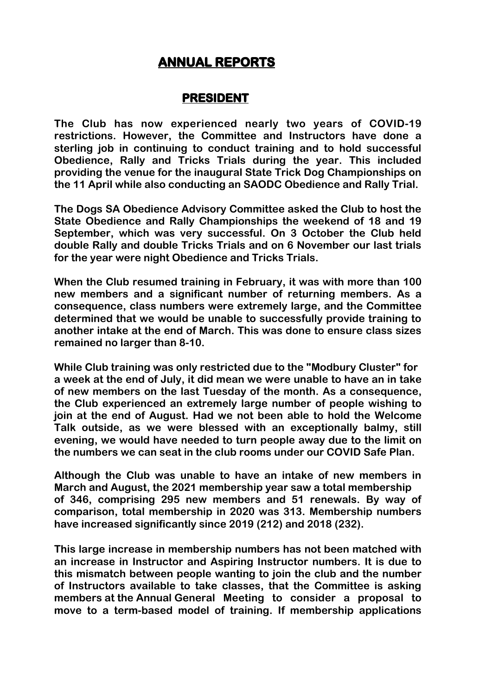# **ANNUAL REPORTS**

### **PRESIDENT**

**The Club has now experienced nearly two years of COVID-19 restrictions. However, the Committee and Instructors have done a sterling job in continuing to conduct training and to hold successful Obedience, Rally and Tricks Trials during the year. This included providing the venue for the inaugural State Trick Dog Championships on the 11 April while also conducting an SAODC Obedience and Rally Trial.**

**The Dogs SA Obedience Advisory Committee asked the Club to host the State Obedience and Rally Championships the weekend of 18 and 19 September, which was very successful. On 3 October the Club held double Rally and double Tricks Trials and on 6 November our last trials for the year were night Obedience and Tricks Trials.**

**When the Club resumed training in February, it was with more than 100 new members and a significant number of returning members. As a consequence, class numbers were extremely large, and the Committee determined that we would be unable to successfully provide training to another intake at the end of March. This was done to ensure class sizes remained no larger than 8-10.**

**While Club training was only restricted due to the "Modbury Cluster" for a week at the end of July, it did mean we were unable to have an in take of new members on the last Tuesday of the month. As a consequence, the Club experienced an extremely large number of people wishing to join at the end of August. Had we not been able to hold the Welcome Talk outside, as we were blessed with an exceptionally balmy, still evening, we would have needed to turn people away due to the limit on the numbers we can seat in the club rooms under our COVID Safe Plan.**

**Although the Club was unable to have an intake of new members in March and August, the 2021 membership year saw a total membership of 346, comprising 295 new members and 51 renewals. By way of comparison, total membership in 2020 was 313. Membership numbers have increased significantly since 2019 (212) and 2018 (232).**

**This large increase in membership numbers has not been matched with an increase in Instructor and Aspiring Instructor numbers. It is due to this mismatch between people wanting to join the club and the number of Instructors available to take classes, that the Committee is asking members at the Annual General Meeting to consider a proposal to move to a term-based model of training. If membership applications**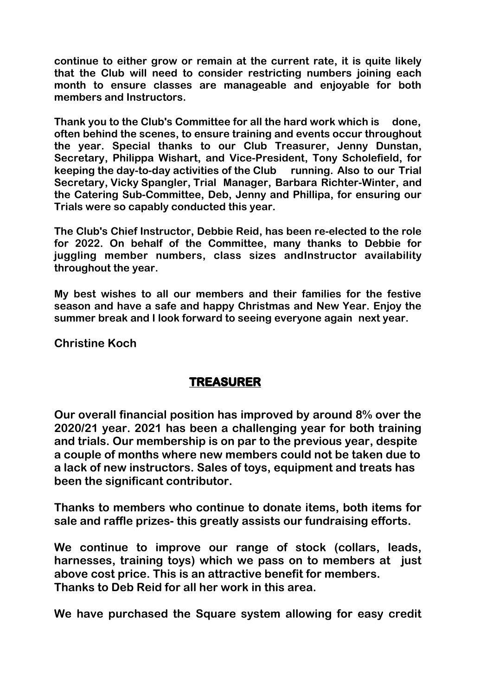**continue to either grow or remain at the current rate, it is quite likely that the Club will need to consider restricting numbers joining each month to ensure classes are manageable and enjoyable for both members and Instructors.**

**Thank you to the Club's Committee for all the hard work which is done, often behind the scenes, to ensure training and events occur throughout the year. Special thanks to our Club Treasurer, Jenny Dunstan, Secretary, Philippa Wishart, and Vice-President, Tony Scholefield, for keeping the day-to-day activities of the Club running. Also to our Trial Secretary, Vicky Spangler, Trial Manager, Barbara Richter-Winter, and the Catering Sub-Committee, Deb, Jenny and Phillipa, for ensuring our Trials were so capably conducted this year.**

**The Club's Chief Instructor, Debbie Reid, has been re-elected to the role for 2022. On behalf of the Committee, many thanks to Debbie for juggling member numbers, class sizes andInstructor availability throughout the year.**

**My best wishes to all our members and their families for the festive season and have a safe and happy Christmas and New Year. Enjoy the summer break and I look forward to seeing everyone again next year.**

**Christine Koch**

## **TREASURER**

**Our overall financial position has improved by around 8% over the 2020/21 year. 2021 has been a challenging year for both training and trials. Our membership is on par to the previous year, despite a couple of months where new members could not be taken due to a lack of new instructors. Sales of toys, equipment and treats has been the significant contributor.** 

**Thanks to members who continue to donate items, both items for sale and raffle prizes- this greatly assists our fundraising efforts.**

**We continue to improve our range of stock (collars, leads, harnesses, training toys) which we pass on to members at just above cost price. This is an attractive benefit for members. Thanks to Deb Reid for all her work in this area.**

**We have purchased the Square system allowing for easy credit**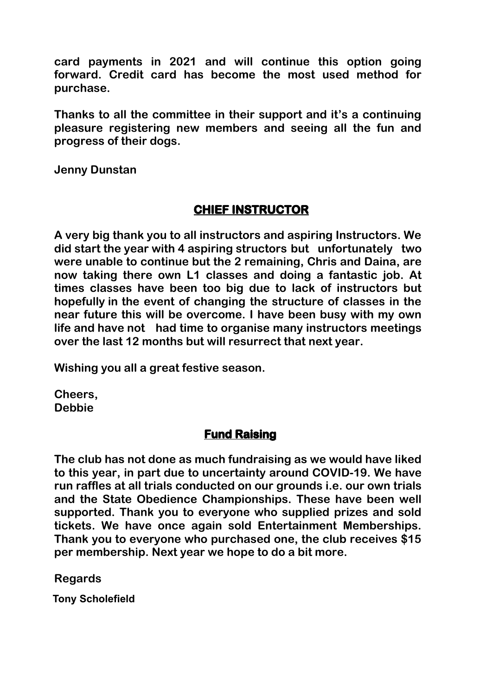**card payments in 2021 and will continue this option going forward. Credit card has become the most used method for purchase.**

**Thanks to all the committee in their support and it's a continuing pleasure registering new members and seeing all the fun and progress of their dogs.**

**Jenny Dunstan**

# **CHIEF INSTRUCTOR**

**A very big thank you to all instructors and aspiring Instructors. We did start the year with 4 aspiring structors but unfortunately two were unable to continue but the 2 remaining, Chris and Daina, are now taking there own L1 classes and doing a fantastic job. At times classes have been too big due to lack of instructors but hopefully in the event of changing the structure of classes in the near future this will be overcome. I have been busy with my own life and have not had time to organise many instructors meetings over the last 12 months but will resurrect that next year.** 

**Wishing you all a great festive season.**

**Cheers, Debbie**

# **Fund Raising**

**The club has not done as much fundraising as we would have liked to this year, in part due to uncertainty around COVID-19. We have run raffles at all trials conducted on our grounds i.e. our own trials and the State Obedience Championships. These have been well supported. Thank you to everyone who supplied prizes and sold tickets. We have once again sold Entertainment Memberships. Thank you to everyone who purchased one, the club receives \$15 per membership. Next year we hope to do a bit more.**

**Regards**

**Tony Scholefield Tony Scholefield**